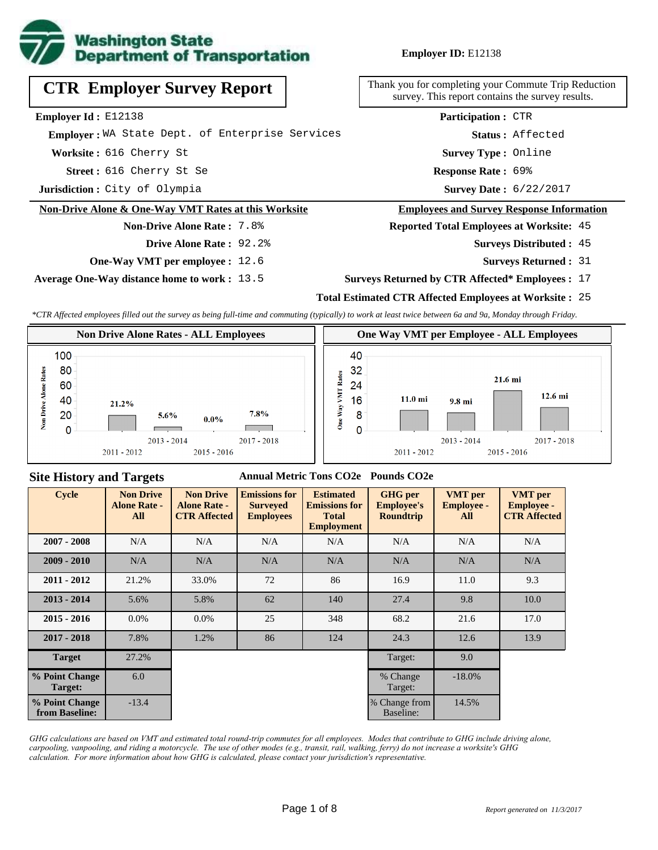

**Employer ID:** E12138

616 Cherry St Se **Response Rate : Street :** Survey Date: 6/22/2017 Response Rate: 69% **Worksite :** 616 Cherry St **Jurisdiction :** City of Olympia **Employer Id :** E12138  **Employer :** WA State Dept. of Enterprise Services **CTR Employer Survey Report Non-Drive Alone & One-Way VMT Rates at this Worksite Non-Drive Alone Rate :** 7.8% 45 **Surveys Distributed : Survey Type :** Online **Status :** Affected **Participation :** CTR **Drive Alone Rate :** 92.2%

**One-Way VMT per employee :** 12.6

**Average One-Way distance home to work :** 13.5

Thank you for completing your Commute Trip Reduction survey. This report contains the survey results.

#### **Employees and Survey Response Information**

**Reported Total Employees at Worksite:** 45

- - **Surveys Returned :** 31

#### **Surveys Returned by CTR Affected\* Employees :** 17

## **Total Estimated CTR Affected Employees at Worksite :** 25

*\*CTR Affected employees filled out the survey as being full-time and commuting (typically) to work at least twice between 6a and 9a, Monday through Friday.*



## **Site History and Targets**

#### **Annual Metric Tons CO2e Pounds CO2e**

| <b>Cycle</b>                     | <b>Non Drive</b><br><b>Alone Rate -</b><br>All | <b>Non Drive</b><br><b>Alone Rate -</b><br><b>CTR Affected</b> | <b>Emissions for</b><br><b>Surveyed</b><br><b>Employees</b> | <b>Estimated</b><br><b>Emissions for</b><br><b>Total</b><br><b>Employment</b> | <b>GHG</b> per<br><b>Employee's</b><br><b>Roundtrip</b> | <b>VMT</b> per<br><b>Employee -</b><br>All | <b>VMT</b> per<br><b>Employee -</b><br><b>CTR Affected</b> |
|----------------------------------|------------------------------------------------|----------------------------------------------------------------|-------------------------------------------------------------|-------------------------------------------------------------------------------|---------------------------------------------------------|--------------------------------------------|------------------------------------------------------------|
| $2007 - 2008$                    | N/A                                            | N/A                                                            | N/A                                                         | N/A                                                                           | N/A                                                     | N/A                                        | N/A                                                        |
| $2009 - 2010$                    | N/A                                            | N/A                                                            | N/A                                                         | N/A                                                                           | N/A                                                     | N/A                                        | N/A                                                        |
| $2011 - 2012$                    | 21.2%                                          | 33.0%                                                          | 72                                                          | 86                                                                            | 16.9                                                    | 11.0                                       | 9.3                                                        |
| $2013 - 2014$                    | 5.6%                                           | 5.8%                                                           | 62                                                          | 140                                                                           | 27.4                                                    | 9.8                                        | 10.0                                                       |
| $2015 - 2016$                    | $0.0\%$                                        | $0.0\%$                                                        | 25                                                          | 348                                                                           | 68.2                                                    | 21.6                                       | 17.0                                                       |
| $2017 - 2018$                    | 7.8%                                           | 1.2%                                                           | 86                                                          | 124                                                                           | 24.3                                                    | 12.6                                       | 13.9                                                       |
| <b>Target</b>                    | 27.2%                                          |                                                                |                                                             |                                                                               | Target:                                                 | 9.0                                        |                                                            |
| % Point Change<br>Target:        | 6.0                                            |                                                                |                                                             |                                                                               | % Change<br>Target:                                     | $-18.0\%$                                  |                                                            |
| % Point Change<br>from Baseline: | $-13.4$                                        |                                                                |                                                             |                                                                               | % Change from<br>Baseline:                              | 14.5%                                      |                                                            |

*GHG calculations are based on VMT and estimated total round-trip commutes for all employees. Modes that contribute to GHG include driving alone, carpooling, vanpooling, and riding a motorcycle. The use of other modes (e.g., transit, rail, walking, ferry) do not increase a worksite's GHG calculation. For more information about how GHG is calculated, please contact your jurisdiction's representative.*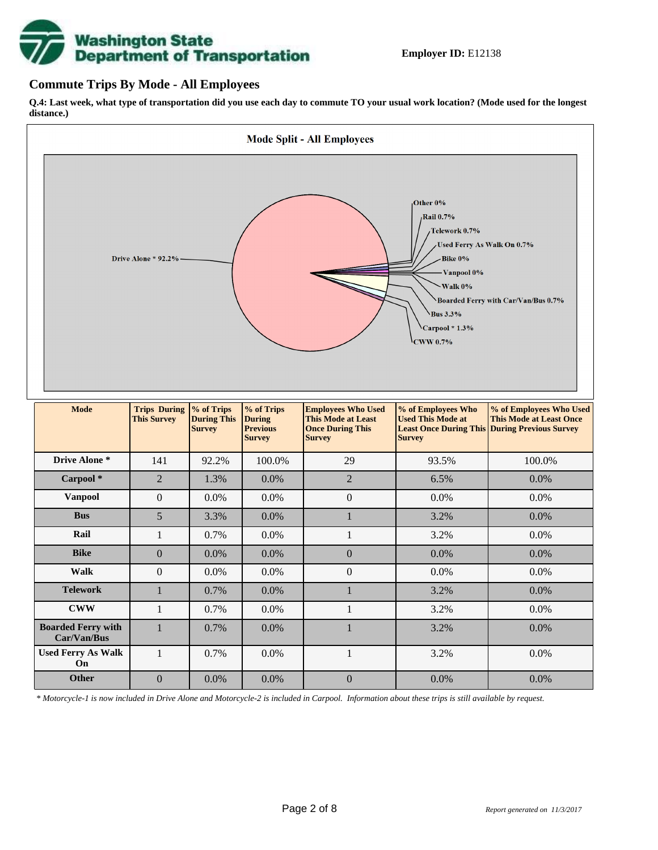# **Washington State<br>Department of Transportation**

## **Commute Trips By Mode - All Employees**

**Q.4: Last week, what type of transportation did you use each day to commute TO your usual work location? (Mode used for the longest distance.)**



*\* Motorcycle-1 is now included in Drive Alone and Motorcycle-2 is included in Carpool. Information about these trips is still available by request.*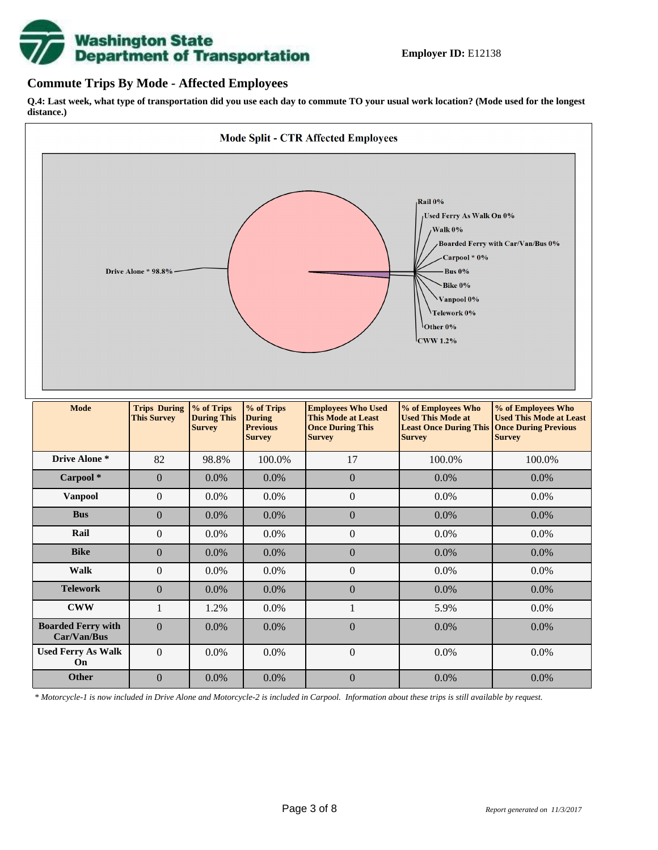

## **Commute Trips By Mode - Affected Employees**

**Q.4: Last week, what type of transportation did you use each day to commute TO your usual work location? (Mode used for the longest distance.)**



*\* Motorcycle-1 is now included in Drive Alone and Motorcycle-2 is included in Carpool. Information about these trips is still available by request.*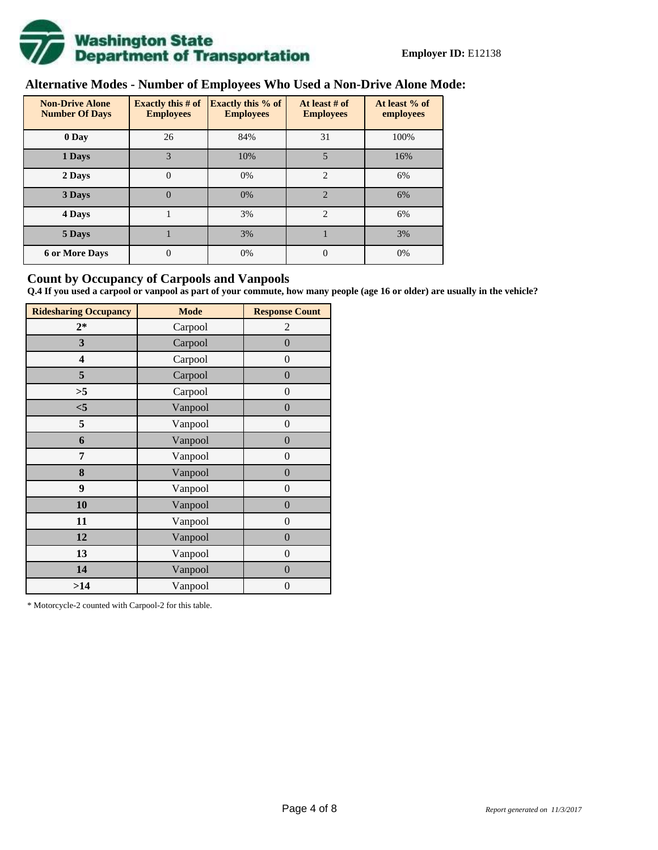

# **Alternative Modes - Number of Employees Who Used a Non-Drive Alone Mode:**

| <b>Non-Drive Alone</b><br><b>Number Of Days</b> | Exactly this $#$ of<br><b>Employees</b> | <b>Exactly this % of</b><br><b>Employees</b> | At least # of<br><b>Employees</b> | At least % of<br>employees |  |  |
|-------------------------------------------------|-----------------------------------------|----------------------------------------------|-----------------------------------|----------------------------|--|--|
| 0 Day                                           | 26                                      | 84%                                          | 31                                | 100%                       |  |  |
| 1 Days                                          | 3                                       | 10%                                          | 5                                 | 16%                        |  |  |
| 2 Days                                          | $\mathbf{0}$                            | 0%                                           | $\overline{2}$                    | 6%                         |  |  |
| 3 Days                                          | $\theta$                                | 0%                                           | $\mathfrak{D}$                    | 6%                         |  |  |
| 4 Days                                          |                                         | 3%                                           | $\overline{2}$                    | 6%                         |  |  |
| 5 Days                                          |                                         | 3%                                           |                                   | 3%                         |  |  |
| <b>6 or More Days</b>                           | 0                                       | 0%                                           | $\Omega$                          | 0%                         |  |  |

## **Count by Occupancy of Carpools and Vanpools**

**Q.4 If you used a carpool or vanpool as part of your commute, how many people (age 16 or older) are usually in the vehicle?**

| <b>Ridesharing Occupancy</b> | <b>Mode</b> | <b>Response Count</b> |
|------------------------------|-------------|-----------------------|
| $2*$                         | Carpool     | 2                     |
| 3                            | Carpool     | $\overline{0}$        |
| 4                            | Carpool     | $\theta$              |
| 5                            | Carpool     | $\overline{0}$        |
| >5                           | Carpool     | $\overline{0}$        |
| $<$ 5                        | Vanpool     | $\overline{0}$        |
| 5                            | Vanpool     | $\overline{0}$        |
| 6                            | Vanpool     | $\boldsymbol{0}$      |
| 7                            | Vanpool     | $\overline{0}$        |
| 8                            | Vanpool     | $\overline{0}$        |
| 9                            | Vanpool     | $\overline{0}$        |
| 10                           | Vanpool     | $\overline{0}$        |
| 11                           | Vanpool     | $\boldsymbol{0}$      |
| 12                           | Vanpool     | $\boldsymbol{0}$      |
| 13                           | Vanpool     | $\boldsymbol{0}$      |
| 14                           | Vanpool     | $\overline{0}$        |
| >14                          | Vanpool     | $\boldsymbol{0}$      |

\* Motorcycle-2 counted with Carpool-2 for this table.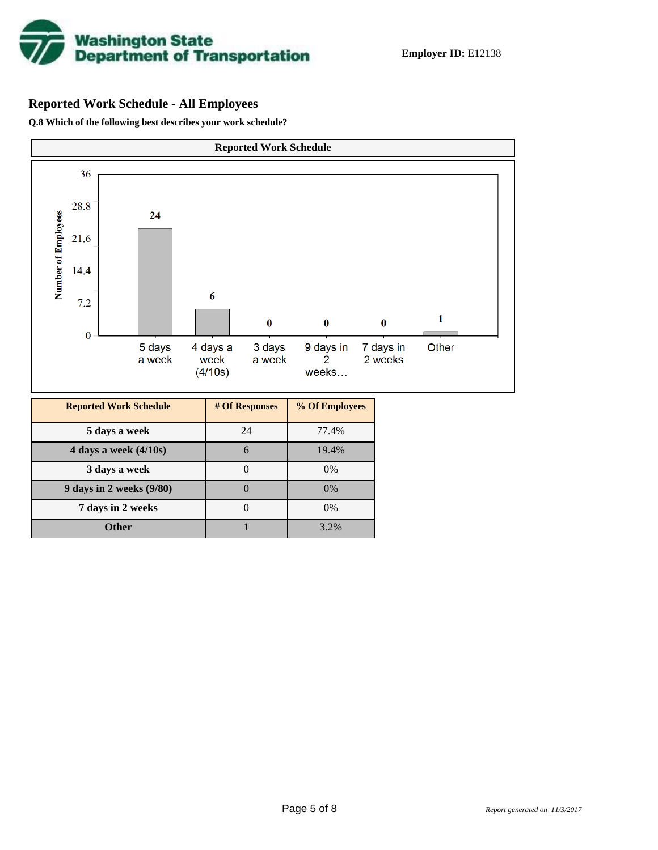

# **Reported Work Schedule - All Employees**

**Q.8 Which of the following best describes your work schedule?**

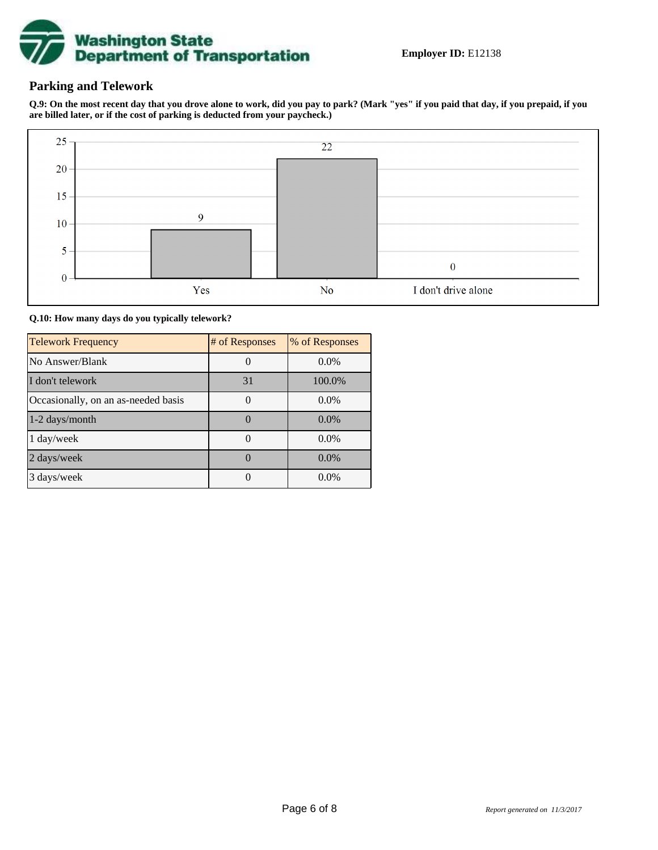

## **Parking and Telework**

**Q.9: On the most recent day that you drove alone to work, did you pay to park? (Mark "yes" if you paid that day, if you prepaid, if you are billed later, or if the cost of parking is deducted from your paycheck.)**



**Q.10: How many days do you typically telework?**

| <b>Telework Frequency</b>           | # of Responses | % of Responses |
|-------------------------------------|----------------|----------------|
| No Answer/Blank                     |                | $0.0\%$        |
| I don't telework                    | 31             | 100.0%         |
| Occasionally, on an as-needed basis |                | $0.0\%$        |
| 1-2 days/month                      |                | $0.0\%$        |
| 1 day/week                          |                | 0.0%           |
| 2 days/week                         |                | $0.0\%$        |
| 3 days/week                         |                | $0.0\%$        |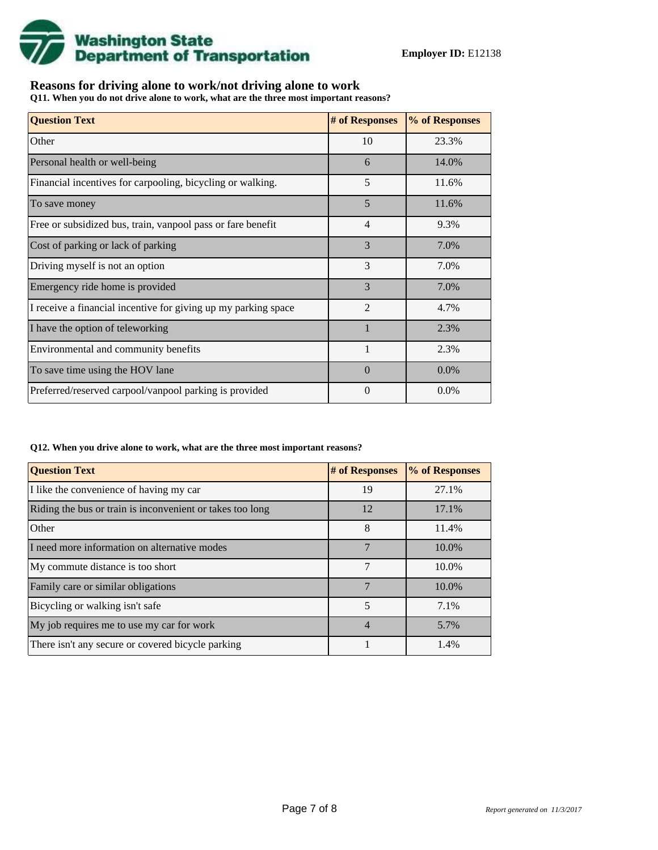

## **Reasons for driving alone to work/not driving alone to work**

**Q11. When you do not drive alone to work, what are the three most important reasons?**

| <b>Question Text</b>                                           | # of Responses | % of Responses |
|----------------------------------------------------------------|----------------|----------------|
| Other                                                          | 10             | 23.3%          |
| Personal health or well-being                                  | 6              | 14.0%          |
| Financial incentives for carpooling, bicycling or walking.     | 5              | 11.6%          |
| To save money                                                  | 5              | 11.6%          |
| Free or subsidized bus, train, vanpool pass or fare benefit    | $\overline{4}$ | 9.3%           |
| Cost of parking or lack of parking                             | 3              | 7.0%           |
| Driving myself is not an option                                | 3              | 7.0%           |
| Emergency ride home is provided                                | 3              | 7.0%           |
| I receive a financial incentive for giving up my parking space | $\mathfrak{D}$ | 4.7%           |
| I have the option of teleworking                               | $\mathbf{1}$   | 2.3%           |
| Environmental and community benefits                           | $\mathbf{1}$   | 2.3%           |
| To save time using the HOV lane                                | $\Omega$       | $0.0\%$        |
| Preferred/reserved carpool/vanpool parking is provided         | $\Omega$       | $0.0\%$        |

#### **Q12. When you drive alone to work, what are the three most important reasons?**

| <b>Question Text</b>                                      | # of Responses | % of Responses |
|-----------------------------------------------------------|----------------|----------------|
| I like the convenience of having my car                   | 19             | 27.1%          |
| Riding the bus or train is inconvenient or takes too long | 12             | 17.1%          |
| Other                                                     | 8              | 11.4%          |
| I need more information on alternative modes              | 7              | 10.0%          |
| My commute distance is too short                          | 7              | 10.0%          |
| Family care or similar obligations                        | 7              | 10.0%          |
| Bicycling or walking isn't safe                           | 5              | 7.1%           |
| My job requires me to use my car for work                 | 4              | 5.7%           |
| There isn't any secure or covered bicycle parking         |                | 1.4%           |